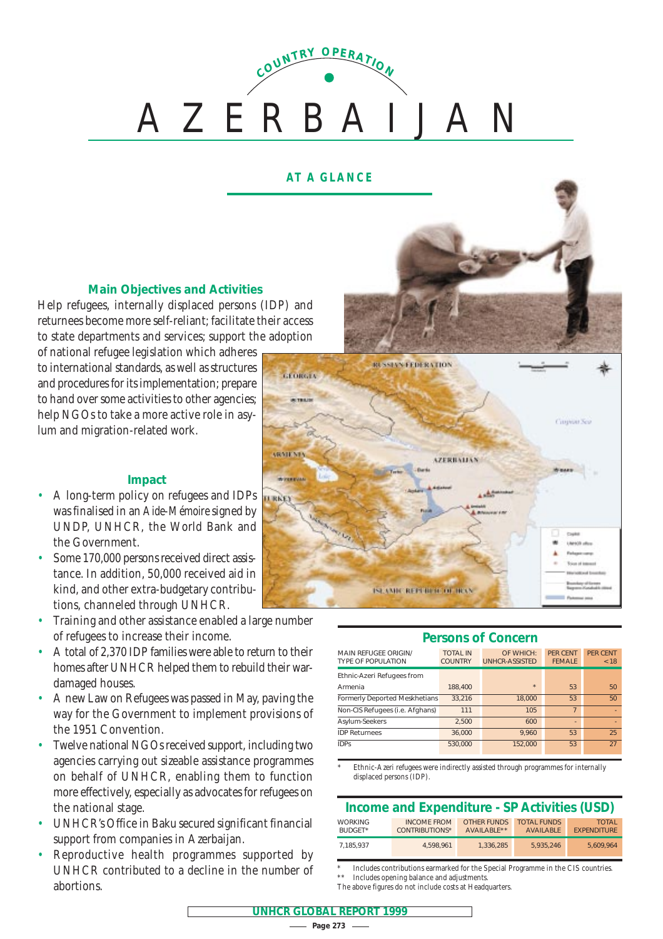# AZERBAIJAN **<sup>C</sup>OUNTR<sup>Y</sup> <sup>O</sup>PERATIO<sup>N</sup>**

## **AT A GLANCE**

## **Main Objectives and Activities**

Help refugees, internally displaced persons (IDP) and returnees become more self-reliant; facilitate their access to state departments and services; support the adoption

of national refugee legislation which adheres to international standards, as well as structures and procedures for its implementation; prepare to hand over some activities to other agencies; help NGOs to take a more active role in asylum and migration-related work.

## **Impact**

- A long-term policy on refugees and IDPs was finalised in an *Aide-Mémoire*signed by UNDP, UNHCR, the World Bank and the Government.
- Some 170,000 persons received direct assistance. In addition, 50,000 received aid in kind, and other extra-budgetary contributions, channeled through UNHCR.
- Training and other assistance enabled a large number of refugees to increase their income.
- A total of 2,370 IDP families were able to return to their homes after UNHCR helped them to rebuild their wardamaged houses.
- A new Law on Refugees was passed in May, paving the way for the Government to implement provisions of the 1951 Convention.
- Twelve national NGOs received support, including two agencies carrying out sizeable assistance programmes on behalf of UNHCR, enabling them to function more effectively, especially as advocates for refugees on the national stage.
- UNHCR's Office in Baku secured significant financial support from companies in Azerbaijan.
- Reproductive health programmes supported by UNHCR contributed to a decline in the number of abortions.



#### **Persons of Concern**

| <b>MAIN REFUGEE ORIGIN/</b><br><b>TYPE OF POPULATION</b> | <b>TOTAL IN</b><br><b>COUNTRY</b> | OF WHICH:<br><b>UNHCR-ASSISTED</b> | PFR CENT<br><b>FFMALF</b> | <b>PFR CENT</b><br>< 18 |
|----------------------------------------------------------|-----------------------------------|------------------------------------|---------------------------|-------------------------|
| Ethnic-Azeri Refugees from                               |                                   |                                    |                           |                         |
| Armenia                                                  | 188,400                           | $\star$                            | 53                        | 50                      |
| <b>Formerly Deported Meskhetians</b>                     | 33,216                            | 18,000                             | 53                        | 50                      |
| Non-CIS Refugees (i.e. Afghans)                          | 111                               | 105                                | $\overline{7}$            |                         |
| Asylum-Seekers                                           | 2.500                             | 600                                | $\overline{a}$            |                         |
| <b>IDP Returnees</b>                                     | 36.000                            | 9.960                              | 53                        | 25                      |
| <b>IDPs</b>                                              | 530.000                           | 152.000                            | 53                        | 27                      |

Ethnic-Azeri refugees were indirectly assisted through programmes for internally displaced persons (IDP).

## **Income and Expenditure - SP Activities (USD)**

| <b>WORKING</b><br>BUDGFT* | <b>INCOME FROM</b><br>CONTRIBUTIONS* | OTHER FUNDS<br>AVAILABLE** | <b>TOTAL FUNDS</b><br><b>AVAILABLE</b> | <b>TOTAL</b><br><b>FXPENDITURE</b> |
|---------------------------|--------------------------------------|----------------------------|----------------------------------------|------------------------------------|
| 7.185.937                 | 4.598.961                            | 1.336.285                  | 5.935.246                              | 5.609.964                          |

\* Includes contributions earmarked for the Special Programme in the CIS countries. \*\* Includes opening balance and adjustments.

The above figures do not include costs at Headquarters.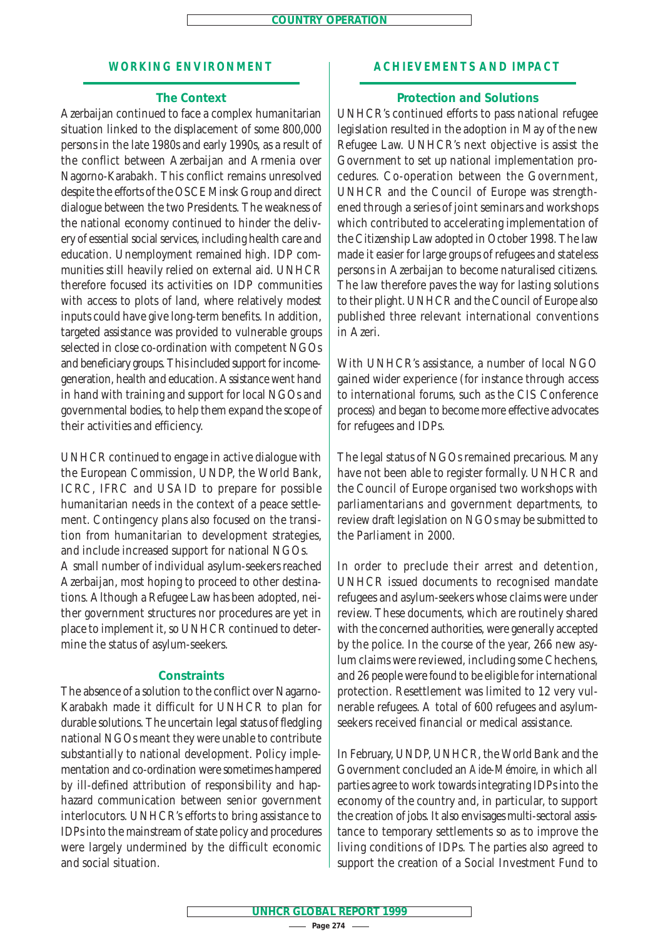#### **WORKING ENVIRONMENT**

#### **The Context**

Azerbaijan continued to face a complex humanitarian situation linked to the displacement of some 800,000 persons in the late 1980s and early 1990s, as a result of the conflict between Azerbaijan and Armenia over Nagorno-Karabakh. This conflict remains unresolved despite the efforts of the OSCE Minsk Group and direct dialogue between the two Presidents. The weakness of the national economy continued to hinder the delivery of essential social services, including health care and education. Unemployment remained high. IDP communities still heavily relied on external aid. UNHCR therefore focused its activities on IDP communities with access to plots of land, where relatively modest inputs could have give long-term benefits. In addition, targeted assistance was provided to vulnerable groups selected in close co-ordination with competent NGOs and beneficiary groups. This included support for incomegeneration, health and education. Assistance went hand in hand with training and support for local NGOs and governmental bodies, to help them expand the scope of their activities and efficiency.

UNHCR continued to engage in active dialogue with the European Commission, UNDP, the World Bank, ICRC, IFRC and USAID to prepare for possible humanitarian needs in the context of a peace settlement. Contingency plans also focused on the transition from humanitarian to development strategies, and include increased support for national NGOs. A small number of individual asylum-seekers reached Azerbaijan, most hoping to proceed to other destinations. Although a Refugee Law has been adopted, neither government structures nor procedures are yet in place to implement it, so UNHCR continued to deter-

#### **Constraints**

mine the status of asylum-seekers.

The absence of a solution to the conflict over Nagarno-Karabakh made it difficult for UNHCR to plan for durable solutions. The uncertain legal status of fledgling national NGOs meant they were unable to contribute substantially to national development. Policy implementation and co-ordination were sometimes hampered by ill-defined attribution of responsibility and haphazard communication between senior government interlocutors. UNHCR's efforts to bring assistance to IDPs into the mainstream of state policy and procedures were largely undermined by the difficult economic and social situation.

## **ACHIEVEMENTS AND IMPACT**

#### **Protection and Solutions**

UNHCR's continued efforts to pass national refugee legislation resulted in the adoption in May of the new Refugee Law. UNHCR's next objective is assist the Government to set up national implementation procedures. Co-operation between the Government, UNHCR and the Council of Europe was strengthened through a series of joint seminars and workshops which contributed to accelerating implementation of the Citizenship Law adopted in October 1998. The law made it easier for large groups of refugees and stateless persons in Azerbaijan to become naturalised citizens. The law therefore paves the way for lasting solutions to their plight. UNHCR and the Council of Europe also published three relevant international conventions in Azeri.

With UNHCR's assistance, a number of local NGO gained wider experience (for instance through access to international forums, such as the CIS Conference process) and began to become more effective advocates for refugees and IDPs.

The legal status of NGOs remained precarious. Many have not been able to register formally. UNHCR and the Council of Europe organised two workshops with parliamentarians and government departments, to review draft legislation on NGOs may be submitted to the Parliament in 2000.

In order to preclude their arrest and detention, UNHCR issued documents to recognised mandate refugees and asylum-seekers whose claims were under review. These documents, which are routinely shared with the concerned authorities, were generally accepted by the police. In the course of the year, 266 new asylum claims were reviewed, including some Chechens, and 26 people were found to be eligible for international protection. Resettlement was limited to 12 very vulnerable refugees. A total of 600 refugees and asylumseekers received financial or medical assistance.

In February, UNDP, UNHCR, the World Bank and the Government concluded an *Aide-Mémoire*, in which all parties agree to work towards integrating IDPs into the economy of the country and, in particular, to support the creation of jobs. It also envisages multi-sectoral assistance to temporary settlements so as to improve the living conditions of IDPs. The parties also agreed to support the creation of a Social Investment Fund to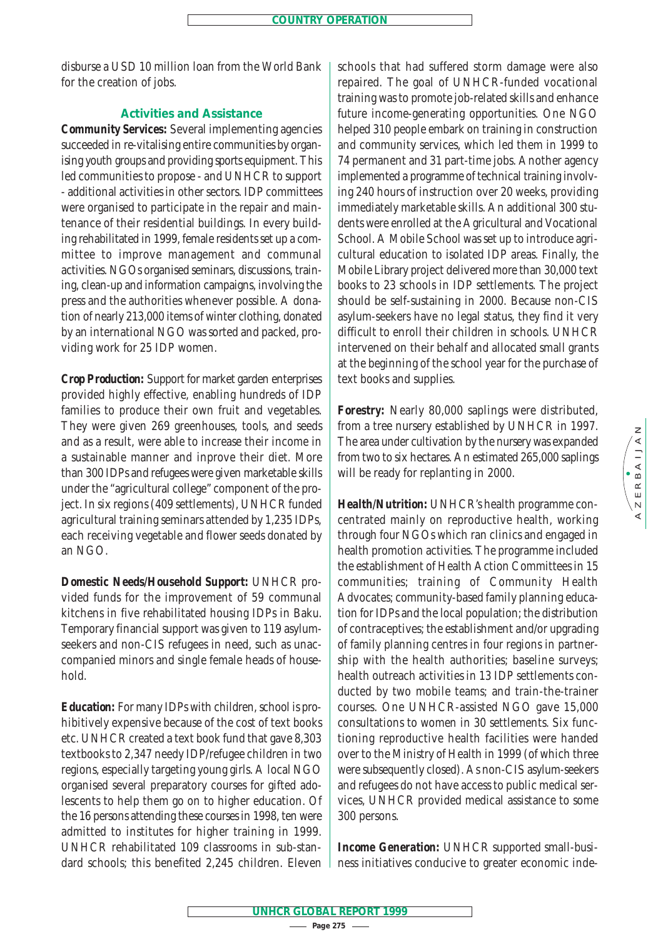disburse a USD 10 million loan from the World Bank for the creation of jobs.

## **Activities and Assistance**

*Community Services:* Several implementing agencies succeeded in re-vitalising entire communities by organising youth groups and providing sports equipment. This led communities to propose - and UNHCR to support - additional activities in other sectors. IDP committees were organised to participate in the repair and maintenance of their residential buildings. In every building rehabilitated in 1999, female residents set up a committee to improve management and communal activities. NGOs organised seminars, discussions, training, clean-up and information campaigns, involving the press and the authorities whenever possible. A donation of nearly 213,000 items of winter clothing, donated by an international NGO was sorted and packed, providing work for 25 IDP women.

*Crop Production:* Support for market garden enterprises provided highly effective, enabling hundreds of IDP families to produce their own fruit and vegetables. They were given 269 greenhouses, tools, and seeds and as a result, were able to increase their income in a sustainable manner and inprove their diet. More than 300 IDPs and refugees were given marketable skills under the "agricultural college" component of the project. In six regions (409 settlements), UNHCR funded agricultural training seminars attended by 1,235 IDPs, each receiving vegetable and flower seeds donated by an NGO.

*Domestic Needs/Household Support:* UNHCR provided funds for the improvement of 59 communal kitchens in five rehabilitated housing IDPs in Baku. Temporary financial support was given to 119 asylumseekers and non-CIS refugees in need, such as unaccompanied minors and single female heads of household.

*Education:* For many IDPs with children, school is prohibitively expensive because of the cost of text books etc. UNHCR created a text book fund that gave 8,303 textbooks to 2,347 needy IDP/refugee children in two regions, especially targeting young girls. A local NGO organised several preparatory courses for gifted adolescents to help them go on to higher education. Of the 16 persons attending these courses in 1998, ten were admitted to institutes for higher training in 1999. UNHCR rehabilitated 109 classrooms in sub-standard schools; this benefited 2,245 children. Eleven schools that had suffered storm damage were also repaired. The goal of UNHCR-funded vocational training was to promote job-related skills and enhance future income-generating opportunities. One NGO helped 310 people embark on training in construction and community services, which led them in 1999 to 74 permanent and 31 part-time jobs. Another agency implemented a programme of technical training involving 240 hours of instruction over 20 weeks, providing immediately marketable skills. An additional 300 students were enrolled at the Agricultural and Vocational School. A Mobile School was set up to introduce agricultural education to isolated IDP areas. Finally, the Mobile Library project delivered more than 30,000 text books to 23 schools in IDP settlements. The project should be self-sustaining in 2000. Because non-CIS asylum-seekers have no legal status, they find it very difficult to enroll their children in schools. UNHCR intervened on their behalf and allocated small grants at the beginning of the school year for the purchase of text books and supplies.

*Forestry:* Nearly 80,000 saplings were distributed, from a tree nursery established by UNHCR in 1997. The area under cultivation by the nursery was expanded from two to six hectares. An estimated 265,000 saplings will be ready for replanting in 2000.

*Health/Nutrition:* UNHCR's health programme concentrated mainly on reproductive health, working through four NGOs which ran clinics and engaged in health promotion activities. The programme included the establishment of Health Action Committees in 15 communities; training of Community Health Advocates; community-based family planning education for IDPs and the local population; the distribution of contraceptives; the establishment and/or upgrading of family planning centres in four regions in partnership with the health authorities; baseline surveys; health outreach activities in 13 IDP settlements conducted by two mobile teams; and train-the-trainer courses. One UNHCR-assisted NGO gave 15,000 consultations to women in 30 settlements. Six functioning reproductive health facilities were handed over to the Ministry of Health in 1999 (of which three were subsequently closed). As non-CIS asylum-seekers and refugees do not have access to public medical services, UNHCR provided medical assistance to some 300 persons.

*Income Generation:* UNHCR supported small-business initiatives conducive to greater economic inde-

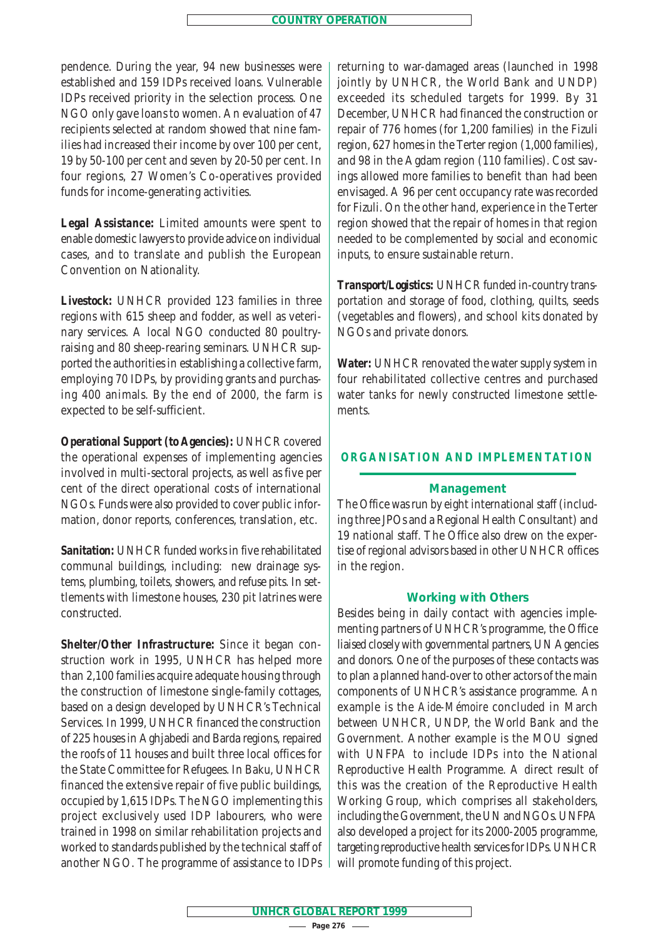pendence. During the year, 94 new businesses were established and 159 IDPs received loans. Vulnerable IDPs received priority in the selection process. One NGO only gave loans to women. An evaluation of 47 recipients selected at random showed that nine families had increased their income by over 100 per cent, 19 by 50-100 per cent and seven by 20-50 per cent. In four regions, 27 Women's Co-operatives provided funds for income-generating activities.

*Legal Assistance:* Limited amounts were spent to enable domestic lawyers to provide advice on individual cases, and to translate and publish the European Convention on Nationality.

*Livestock:* UNHCR provided 123 families in three regions with 615 sheep and fodder, as well as veterinary services. A local NGO conducted 80 poultryraising and 80 sheep-rearing seminars. UNHCR supported the authorities in establishing a collective farm, employing 70 IDPs, by providing grants and purchasing 400 animals. By the end of 2000, the farm is expected to be self-sufficient.

*Operational Support (to Agencies):* UNHCR covered the operational expenses of implementing agencies involved in multi-sectoral projects, as well as five per cent of the direct operational costs of international NGOs. Funds were also provided to cover public information, donor reports, conferences, translation, etc.

*Sanitation:* UNHCR funded works in five rehabilitated communal buildings, including: new drainage systems, plumbing, toilets, showers, and refuse pits. In settlements with limestone houses, 230 pit latrines were constructed.

*Shelter/Other Infrastructure:* Since it began construction work in 1995, UNHCR has helped more than 2,100 families acquire adequate housing through the construction of limestone single-family cottages, based on a design developed by UNHCR's Technical Services. In 1999, UNHCR financed the construction of 225 houses in Aghjabedi and Barda regions, repaired the roofs of 11 houses and built three local offices for the State Committee for Refugees. In Baku, UNHCR financed the extensive repair of five public buildings, occupied by 1,615 IDPs. The NGO implementing this project exclusively used IDP labourers, who were trained in 1998 on similar rehabilitation projects and worked to standards published by the technical staff of another NGO. The programme of assistance to IDPs returning to war-damaged areas (launched in 1998 jointly by UNHCR, the World Bank and UNDP) exceeded its scheduled targets for 1999. By 31 December, UNHCR had financed the construction or repair of 776 homes (for 1,200 families) in the Fizuli region, 627 homes in the Terter region (1,000 families), and 98 in the Agdam region (110 families). Cost savings allowed more families to benefit than had been envisaged. A 96 per cent occupancy rate was recorded for Fizuli. On the other hand, experience in the Terter region showed that the repair of homes in that region needed to be complemented by social and economic inputs, to ensure sustainable return.

*Transport/Logistics:* UNHCR funded in-country transportation and storage of food, clothing, quilts, seeds (vegetables and flowers), and school kits donated by NGOs and private donors.

*Water:* UNHCR renovated the water supply system in four rehabilitated collective centres and purchased water tanks for newly constructed limestone settlements.

## **ORGANISATION AND IMPLEMENTATION**

#### **Management**

The Office was run by eight international staff (including three JPOs and a Regional Health Consultant) and 19 national staff. The Office also drew on the expertise of regional advisors based in other UNHCR offices in the region.

#### **Working with Others**

Besides being in daily contact with agencies implementing partners of UNHCR's programme, the Office liaised closely with governmental partners, UN Agencies and donors. One of the purposes of these contacts was to plan a planned hand-over to other actors of the main components of UNHCR's assistance programme. An example is the *Aide-Mémoire* concluded in March between UNHCR, UNDP, the World Bank and the Government. Another example is the MOU signed with UNFPA to include IDPs into the National Reproductive Health Programme. A direct result of this was the creation of the Reproductive Health Working Group, which comprises all stakeholders, including the Government, the UN and NGOs. UNFPA also developed a project for its 2000-2005 programme, targeting reproductive health services for IDPs. UNHCR will promote funding of this project.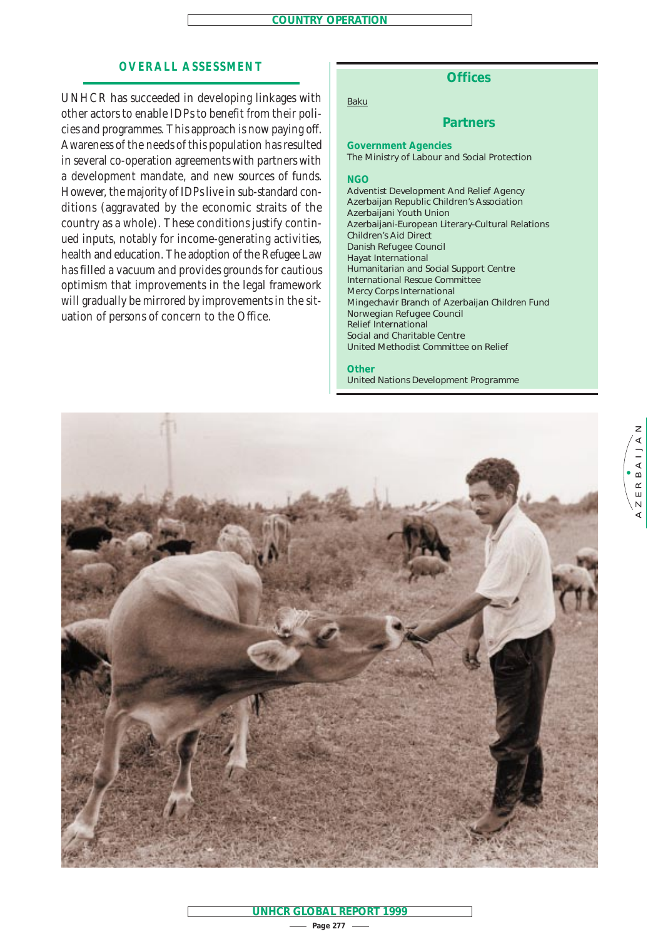## **OVERALL ASSESSMENT**

UNHCR has succeeded in developing linkages with other actors to enable IDPs to benefit from their policies and programmes. This approach is now paying off. Awareness of the needs of this population has resulted in several co-operation agreements with partners with a development mandate, and new sources of funds. However, the majority of IDPs live in sub-standard conditions (aggravated by the economic straits of the country as a whole). These conditions justify continued inputs, notably for income-generating activities, health and education. The adoption of the Refugee Law has filled a vacuum and provides grounds for cautious optimism that improvements in the legal framework will gradually be mirrored by improvements in the situation of persons of concern to the Office.

## **Offices**

Baku

## **Partners**

**Government Agencies** The Ministry of Labour and Social Protection

#### **NGO**

Adventist Development And Relief Agency Azerbaijan Republic Children's Association Azerbaijani Youth Union Azerbaijani-European Literary-Cultural Relations Children's Aid Direct Danish Refugee Council Hayat International Humanitarian and Social Support Centre International Rescue Committee Mercy Corps International Mingechavir Branch of Azerbaijan Children Fund Norwegian Refugee Council Relief International Social and Charitable Centre United Methodist Committee on Relief

#### **Other**

United Nations Development Programme

 $Z$  E R B A I J A N AZERBAIJAN



**Page 277 UNHCR GLOBAL REPORT 1999**